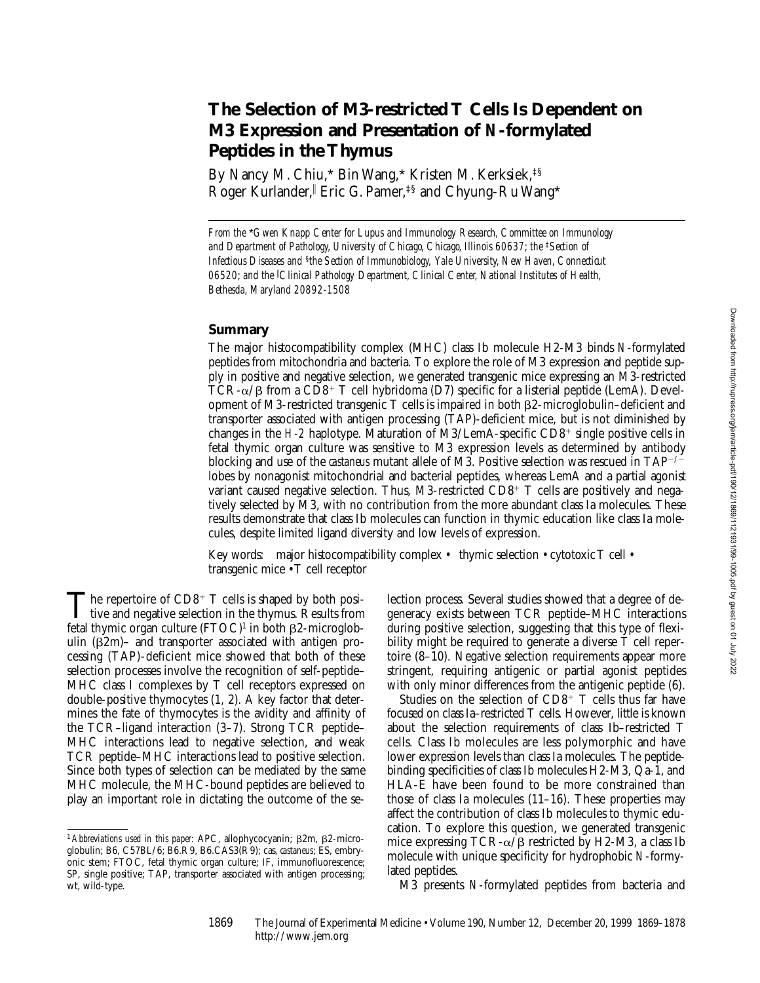# **The Selection of M3-restricted T Cells Is Dependent on M3 Expression and Presentation of** *N***-formylated Peptides in the Thymus**

By Nancy M. Chiu,\* Bin Wang,\* Kristen M. Kerksiek,‡§ Roger Kurlander, $^\parallel$  Eric G. Pamer, $^{\ddagger \S}$  and Chyung-Ru Wang\*

*From the* \**Gwen Knapp Center for Lupus and Immunology Research, Committee on Immunology*  and Department of Pathology, University of Chicago, Chicago, Illinois 60637; the <sup>‡</sup>*Section of Infectious Diseases and* §*the Section of Immunobiology, Yale University, New Haven, Connecticut 06520; and the* <sup>i</sup> *Clinical Pathology Department, Clinical Center, National Institutes of Health, Bethesda, Maryland 20892-1508*

#### **Summary**

The major histocompatibility complex (MHC) class Ib molecule H2-M3 binds *N*-formylated peptides from mitochondria and bacteria. To explore the role of M3 expression and peptide supply in positive and negative selection, we generated transgenic mice expressing an M3-restricted TCR- $\alpha$ / $\beta$  from a CD8<sup>+</sup> T cell hybridoma (D7) specific for a listerial peptide (LemA). Development of M3-restricted transgenic T cells is impaired in both b2-microglobulin–deficient and transporter associated with antigen processing (TAP)-deficient mice, but is not diminished by changes in the  $H-2$  haplotype. Maturation of M3/LemA-specific  $CD8<sup>+</sup>$  single positive cells in fetal thymic organ culture was sensitive to M3 expression levels as determined by antibody blocking and use of the *castaneus* mutant allele of M3. Positive selection was rescued in  $TAP^{-/-}$ lobes by nonagonist mitochondrial and bacterial peptides, whereas LemA and a partial agonist variant caused negative selection. Thus, M3-restricted  $CDB^+$  T cells are positively and negatively selected by M3, with no contribution from the more abundant class Ia molecules. These results demonstrate that class Ib molecules can function in thymic education like class Ia molecules, despite limited ligand diversity and low levels of expression.

Key words: major histocompatibility complex • thymic selection • cytotoxic T cell • transgenic mice • T cell receptor

The repertoire of  $CD8^+$  T cells is shaped by both positive and negative selection in the thymus. Results from fatal thymus organ sultive ( $ETCC$ ) in both 0.2 ming slobs fetal thymic organ culture  $(FTOC)^1$  in both  $\beta$ 2-microglobulin  $(\beta 2m)$ – and transporter associated with antigen processing (TAP)-deficient mice showed that both of these selection processes involve the recognition of self-peptide– MHC class I complexes by T cell receptors expressed on double-positive thymocytes (1, 2). A key factor that determines the fate of thymocytes is the avidity and affinity of the TCR–ligand interaction (3–7). Strong TCR peptide– MHC interactions lead to negative selection, and weak TCR peptide–MHC interactions lead to positive selection. Since both types of selection can be mediated by the same MHC molecule, the MHC-bound peptides are believed to play an important role in dictating the outcome of the selection process. Several studies showed that a degree of degeneracy exists between TCR peptide–MHC interactions during positive selection, suggesting that this type of flexibility might be required to generate a diverse T cell repertoire (8–10). Negative selection requirements appear more stringent, requiring antigenic or partial agonist peptides with only minor differences from the antigenic peptide (6).

Studies on the selection of  $CD8<sup>+</sup>$  T cells thus far have focused on class Ia–restricted T cells. However, little is known about the selection requirements of class Ib–restricted T cells. Class Ib molecules are less polymorphic and have lower expression levels than class Ia molecules. The peptidebinding specificities of class Ib molecules H2-M3, Qa-1, and HLA-E have been found to be more constrained than those of class Ia molecules (11–16). These properties may affect the contribution of class Ib molecules to thymic education. To explore this question, we generated transgenic mice expressing  $TCR-\alpha/B$  restricted by H2-M3, a class Ib molecule with unique specificity for hydrophobic *N*-formylated peptides.

M3 presents *N*-formylated peptides from bacteria and

<sup>&</sup>lt;sup>1</sup> Abbreviations used in this paper: APC, allophycocyanin;  $\beta$ 2m,  $\beta$ 2-microglobulin; B6, C57BL/6; B6.R9, B6.CAS3(R9); cas, *castaneus*; ES, embryonic stem; FTOC, fetal thymic organ culture; IF, immunofluorescence; SP, single positive; TAP, transporter associated with antigen processing; wt, wild-type.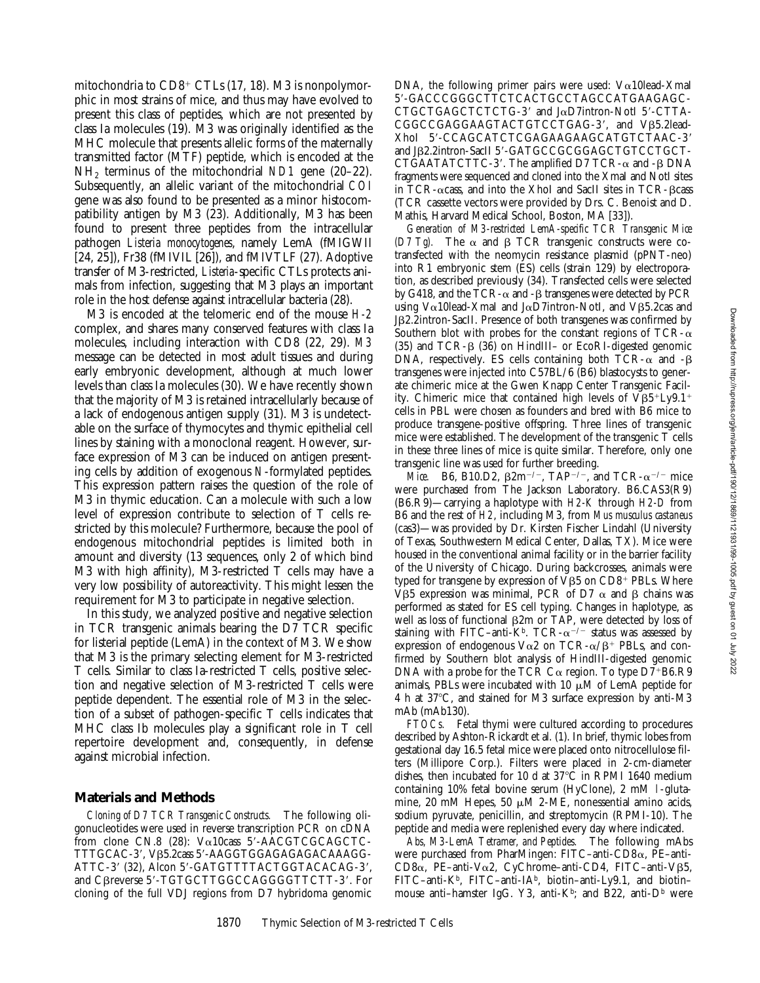mitochondria to  $CD8^+$  CTLs (17, 18). M3 is nonpolymorphic in most strains of mice, and thus may have evolved to present this class of peptides, which are not presented by class Ia molecules (19). M3 was originally identified as the MHC molecule that presents allelic forms of the maternally transmitted factor (MTF) peptide, which is encoded at the NH2 terminus of the mitochondrial *ND1* gene (20–22). Subsequently, an allelic variant of the mitochondrial *COI* gene was also found to be presented as a minor histocompatibility antigen by M3  $(23)$ . Additionally, M3 has been found to present three peptides from the intracellular pathogen *Listeria monocytogenes*, namely LemA (fMIGWII [24, 25]), Fr38 (fMIVIL [26]), and fMIVTLF (27). Adoptive transfer of M3-restricted, *Listeria*-specific CTLs protects animals from infection, suggesting that M3 plays an important role in the host defense against intracellular bacteria (28).

M3 is encoded at the telomeric end of the mouse *H-2* complex, and shares many conserved features with class Ia molecules, including interaction with CD8 (22, 29). *M3* message can be detected in most adult tissues and during early embryonic development, although at much lower levels than class Ia molecules (30). We have recently shown that the majority of M3 is retained intracellularly because of a lack of endogenous antigen supply (31). M3 is undetectable on the surface of thymocytes and thymic epithelial cell lines by staining with a monoclonal reagent. However, surface expression of M3 can be induced on antigen presenting cells by addition of exogenous *N*-formylated peptides. This expression pattern raises the question of the role of M3 in thymic education. Can a molecule with such a low level of expression contribute to selection of T cells restricted by this molecule? Furthermore, because the pool of endogenous mitochondrial peptides is limited both in amount and diversity (13 sequences, only 2 of which bind M3 with high affinity), M3-restricted T cells may have a very low possibility of autoreactivity. This might lessen the requirement for M3 to participate in negative selection.

In this study, we analyzed positive and negative selection in TCR transgenic animals bearing the D7 TCR specific for listerial peptide (LemA) in the context of M3. We show that M3 is the primary selecting element for M3-restricted T cells. Similar to class Ia-restricted T cells, positive selection and negative selection of M3-restricted T cells were peptide dependent. The essential role of M3 in the selection of a subset of pathogen-specific T cells indicates that MHC class Ib molecules play a significant role in T cell repertoire development and, consequently, in defense against microbial infection.

### **Materials and Methods**

*Cloning of D7 TCR Transgenic Constructs.* The following oligonucleotides were used in reverse transcription PCR on cDNA from clone CN.8 (28):  $Va10cas 5' - AACGTCGCAGCTC-$ TTTGCAC-3', Vß5.2cass 5'-AAGGTGGAGAGAGACAAAGG-ATTC-3' (32), Alcon 5'-GATGTTTTACTGGTACACAG-3', and C $\beta$ reverse 5'-TGTGCTTGGCCAGGGGTTCTT-3'. For cloning of the full VDJ regions from D7 hybridoma genomic DNA, the following primer pairs were used:  $V\alpha$ 10lead-XmaI 59-GACCCGGGCTTCTCACTGCCTAGCCATGAAGAGC- $CTGCTGAGCTCTCTG-3'$  and  $J\alpha$ D7intron-NotI 5'-CTTA-CGGCCGAGGAAGTACTGTCCTGAG-3', and Vß5.2lead-XhoI 5'-CCAGCATCTCGAGAAGAAGCATGTCTAAC-3' and JB2.2intron-SacII 5'-GATGCCGCGGAGCTGTCCTGCT-CTGAATATCTTC-3'. The amplified D7 TCR- $\alpha$  and - $\beta$  DNA fragments were sequenced and cloned into the XmaI and NotI sites in TCR- $\alpha$ cass, and into the XhoI and SacII sites in TCR- $\beta$ cass (TCR cassette vectors were provided by Drs. C. Benoist and D. Mathis, Harvard Medical School, Boston, MA [33]).

*Generation of M3-restricted LemA-specific TCR Transgenic Mice (D7 Tg).* The  $\alpha$  and  $\beta$  TCR transgenic constructs were cotransfected with the neomycin resistance plasmid (pPNT-neo) into R1 embryonic stem (ES) cells (strain 129) by electroporation, as described previously (34). Transfected cells were selected by G418, and the TCR- $\alpha$  and - $\beta$  transgenes were detected by PCR using V $\alpha$ 10lead-XmaI and J $\alpha$ D7intron-NotI, and V $\beta$ 5.2cas and J $\beta$ 2.2intron-SacII. Presence of both transgenes was confirmed by Southern blot with probes for the constant regions of TCR- $\alpha$ (35) and TCR- $\beta$  (36) on HindIII– or EcoRI-digested genomic DNA, respectively. ES cells containing both  $TCR-\alpha$  and  $-\beta$ transgenes were injected into C57BL/6 (B6) blastocysts to generate chimeric mice at the Gwen Knapp Center Transgenic Facility. Chimeric mice that contained high levels of  $V\beta5+Ly9.1+$ cells in PBL were chosen as founders and bred with B6 mice to produce transgene-positive offspring. Three lines of transgenic mice were established. The development of the transgenic T cells in these three lines of mice is quite similar. Therefore, only one transgenic line was used for further breeding.

*Mice.* B6, B10.D2,  $\beta 2m^{-/-}$ , TAP<sup>-/-</sup>, and TCR- $\alpha^{-/-}$  mice were purchased from The Jackson Laboratory. B6.CAS3(R9) (B6.R9)—carrying a haplotype with *H2-K* through *H2-D* from B6 and the rest of *H2*, including M3, from *Mus musculus castaneus* (cas3)—was provided by Dr. Kirsten Fischer Lindahl (University of Texas, Southwestern Medical Center, Dallas, TX). Mice were housed in the conventional animal facility or in the barrier facility of the University of Chicago. During backcrosses, animals were typed for transgene by expression of  $V\beta5$  on CD8<sup>+</sup> PBLs. Where V $\beta$ 5 expression was minimal, PCR of D7  $\alpha$  and  $\beta$  chains was performed as stated for ES cell typing. Changes in haplotype, as well as loss of functional  $\beta$ 2m or TAP, were detected by loss of staining with FITC–anti-K<sup>b</sup>. TCR- $\alpha$ <sup>-/-</sup> status was assessed by expression of endogenous  $V\alpha$ 2 on TCR- $\alpha$ / $\beta$ <sup>+</sup> PBLs, and confirmed by Southern blot analysis of HindIII-digested genomic DNA with a probe for the TCR  $C\alpha$  region. To type D7+B6.R9 animals, PBLs were incubated with 10  $\mu$ M of LemA peptide for 4 h at 37°C, and stained for M3 surface expression by anti-M3 mAb (mAb130).

*FTOCs.* Fetal thymi were cultured according to procedures described by Ashton-Rickardt et al. (1). In brief, thymic lobes from gestational day 16.5 fetal mice were placed onto nitrocellulose filters (Millipore Corp.). Filters were placed in 2-cm-diameter dishes, then incubated for 10 d at  $37^{\circ}$ C in RPMI 1640 medium containing 10% fetal bovine serum (HyClone), 2 mM l-glutamine, 20 mM Hepes, 50  $\mu$ M 2-ME, nonessential amino acids, sodium pyruvate, penicillin, and streptomycin (RPMI-10). The peptide and media were replenished every day where indicated.

*Abs, M3-LemA Tetramer, and Peptides.* The following mAbs were purchased from PharMingen: FITC–anti-CD8a, PE–anti-CD8 $\alpha$ , PE–anti-V $\alpha$ 2, CyChrome–anti-CD4, FITC–anti-V $\beta$ 5, FITC–anti-Kb, FITC–anti-IAb, biotin–anti-Ly9.1, and biotin– mouse anti–hamster IgG. Y3, anti-K<sup>b</sup>; and B22, anti-D<sup>b</sup> were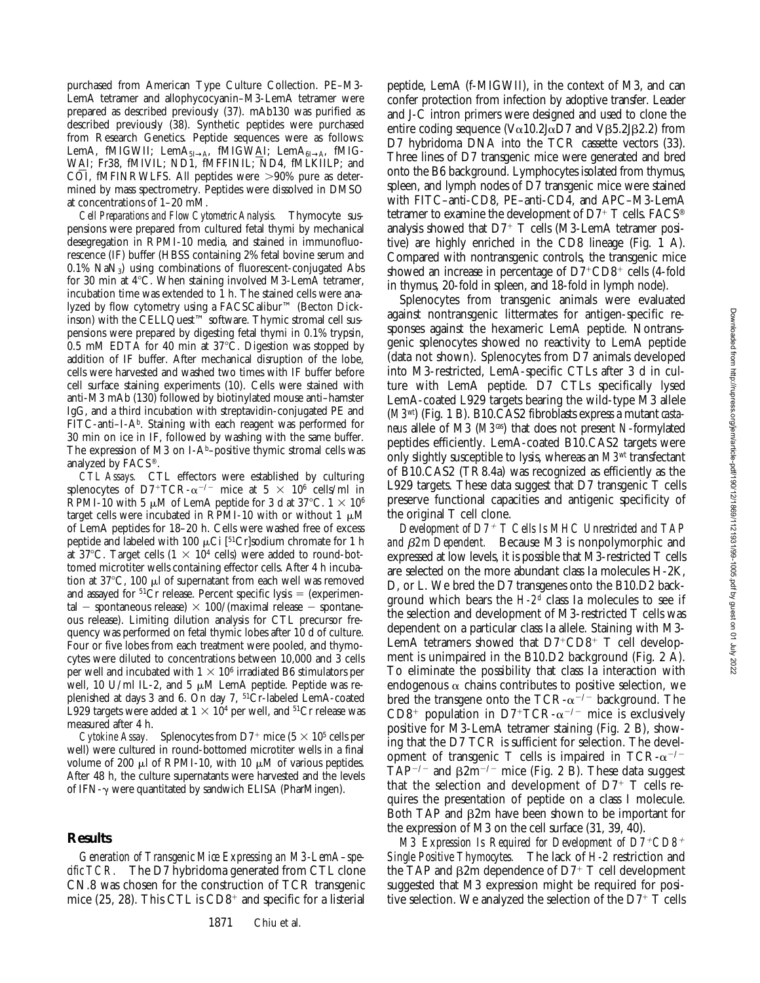purchased from American Type Culture Collection. PE–M3- LemA tetramer and allophycocyanin–M3-LemA tetramer were prepared as described previously (37). mAb130 was purified as described previously (38). Synthetic peptides were purchased from Research Genetics. Peptide sequences were as follows: LemA, fMIGWII; LemA<sub>5I→A</sub>, fMIGW<u>A</u>I; LemA<sub>6I→A</sub>, fMIG-WAI; Fr38, fMIVIL; ND1, fMFFINIL; ND4, fMLKIILP; and COI, fMFINRWLFS. All peptides were  $>90\%$  pure as determined by mass spectrometry. Peptides were dissolved in DMSO at concentrations of 1–20 mM.

*Cell Preparations and Flow Cytometric Analysis.* Thymocyte suspensions were prepared from cultured fetal thymi by mechanical desegregation in RPMI-10 media, and stained in immunofluorescence (IF) buffer (HBSS containing 2% fetal bovine serum and  $0.1\%$  NaN<sub>3</sub>) using combinations of fluorescent-conjugated Abs for 30 min at  $4^{\circ}$ C. When staining involved M3-LemA tetramer, incubation time was extended to 1 h. The stained cells were analyzed by flow cytometry using a FACSCalibur™ (Becton Dickinson) with the CELLQuest™ software. Thymic stromal cell suspensions were prepared by digesting fetal thymi in 0.1% trypsin, 0.5 mM EDTA for 40 min at  $37^{\circ}$ C. Digestion was stopped by addition of IF buffer. After mechanical disruption of the lobe, cells were harvested and washed two times with IF buffer before cell surface staining experiments (10). Cells were stained with anti-M3 mAb (130) followed by biotinylated mouse anti–hamster IgG, and a third incubation with streptavidin-conjugated PE and FITC-anti–I-Ab. Staining with each reagent was performed for 30 min on ice in IF, followed by washing with the same buffer. The expression of M3 on I-A<sup>b</sup>-positive thymic stromal cells was analyzed by FACS®.

*CTL Assays.* CTL effectors were established by culturing splenocytes of D7+TCR- $\alpha$ <sup>-/-</sup> mice at 5  $\times$  10<sup>6</sup> cells/ml in RPMI-10 with 5  $\mu$ M of LemA peptide for 3 d at 37°C.  $1 \times 10^6$ target cells were incubated in RPMI-10 with or without 1  $\mu$ M of LemA peptides for 18–20 h. Cells were washed free of excess peptide and labeled with 100  $\mu$ Ci [<sup>51</sup>Cr]sodium chromate for 1 h at 37°C. Target cells  $(1 \times 10^4 \text{ cells})$  were added to round-bottomed microtiter wells containing effector cells. After 4 h incubation at 37°C, 100  $\mu$ l of supernatant from each well was removed and assayed for  ${}^{51}Cr$  release. Percent specific lysis = (experimental - spontaneous release)  $\times$  100/(maximal release - spontaneous release). Limiting dilution analysis for CTL precursor frequency was performed on fetal thymic lobes after 10 d of culture. Four or five lobes from each treatment were pooled, and thymocytes were diluted to concentrations between 10,000 and 3 cells per well and incubated with  $1 \times 10^6$  irradiated B6 stimulators per well, 10 U/ml IL-2, and 5  $\mu$ M LemA peptide. Peptide was replenished at days 3 and 6. On day 7, 51Cr-labeled LemA-coated L929 targets were added at  $1 \times 10^4$  per well, and <sup>51</sup>Cr release was measured after 4 h.

*Cytokine Assay.* Splenocytes from  $D7^+$  mice  $(5 \times 10^5 \text{ cells per})$ well) were cultured in round-bottomed microtiter wells in a final volume of 200  $\mu$ l of RPMI-10, with 10  $\mu$ M of various peptides. After 48 h, the culture supernatants were harvested and the levels of IFN-g were quantitated by sandwich ELISA (PharMingen).

#### **Results**

*Generation of Transgenic Mice Expressing an M3-LemA–specific TCR.* The D7 hybridoma generated from CTL clone CN.8 was chosen for the construction of TCR transgenic mice  $(25, 28)$ . This CTL is CD8<sup>+</sup> and specific for a listerial

peptide, LemA (f-MIGWII), in the context of M3, and can confer protection from infection by adoptive transfer. Leader and J-C intron primers were designed and used to clone the entire coding sequence ( $V\alpha$ 10.2J $\alpha$ D7 and V $\beta$ 5.2J $\beta$ 2.2) from D7 hybridoma DNA into the TCR cassette vectors (33). Three lines of D7 transgenic mice were generated and bred onto the B6 background. Lymphocytes isolated from thymus, spleen, and lymph nodes of D7 transgenic mice were stained with FITC–anti-CD8, PE–anti-CD4, and APC–M3-LemA tetramer to examine the development of  $D7^+$  T cells. FACS<sup>®</sup> analysis showed that  $D7^+$  T cells (M3-LemA tetramer positive) are highly enriched in the CD8 lineage (Fig. 1 A). Compared with nontransgenic controls, the transgenic mice showed an increase in percentage of  $D7+CD8+$  cells (4-fold in thymus, 20-fold in spleen, and 18-fold in lymph node).

Splenocytes from transgenic animals were evaluated against nontransgenic littermates for antigen-specific responses against the hexameric LemA peptide. Nontransgenic splenocytes showed no reactivity to LemA peptide (data not shown). Splenocytes from D7 animals developed into M3-restricted, LemA-specific CTLs after 3 d in culture with LemA peptide. D7 CTLs specifically lysed LemA-coated L929 targets bearing the wild-type M3 allele (*M3wt*) (Fig. 1 B). B10.CAS2 fibroblasts express a mutant *castaneus* allele of M3 (*M3cas*) that does not present *N*-formylated peptides efficiently. LemA-coated B10.CAS2 targets were only slightly susceptible to lysis, whereas an *M3wt* transfectant of B10.CAS2 (TR8.4a) was recognized as efficiently as the L929 targets. These data suggest that D7 transgenic T cells preserve functional capacities and antigenic specificity of the original T cell clone.

*Development of D7*1 *T Cells Is MHC Unrestricted and TAP and* b*2m Dependent.* Because M3 is nonpolymorphic and expressed at low levels, it is possible that M3-restricted T cells are selected on the more abundant class Ia molecules H-2K, D, or L. We bred the D7 transgenes onto the B10.D2 background which bears the *H-2<sup>d</sup>* class Ia molecules to see if the selection and development of M3-restricted T cells was dependent on a particular class Ia allele. Staining with M3- LemA tetramers showed that  $D7+CD8$ <sup>+</sup> T cell development is unimpaired in the B10.D2 background (Fig. 2 A). To eliminate the possibility that class Ia interaction with endogenous  $\alpha$  chains contributes to positive selection, we bred the transgene onto the  $TCR-\alpha^{-/-}$  background. The CD8<sup>+</sup> population in D7<sup>+</sup>TCR- $\alpha$ <sup>-/-</sup> mice is exclusively positive for M3-LemA tetramer staining (Fig. 2 B), showing that the D7 TCR is sufficient for selection. The development of transgenic T cells is impaired in TCR- $\alpha$ <sup>-/-</sup> TAP<sup>-/-</sup> and  $\beta 2m^{-/-}$  mice (Fig. 2 B). These data suggest that the selection and development of  $D7^+$  T cells requires the presentation of peptide on a class I molecule. Both TAP and  $\beta$ 2m have been shown to be important for the expression of M3 on the cell surface (31, 39, 40).

*M3 Expression Is Required for Development of D7<sup>+</sup>CD8<sup>+</sup> Single Positive Thymocytes.* The lack of *H-2* restriction and the TAP and  $\beta$ 2m dependence of D7<sup>+</sup> T cell development suggested that M3 expression might be required for positive selection. We analyzed the selection of the  $D7^+$  T cells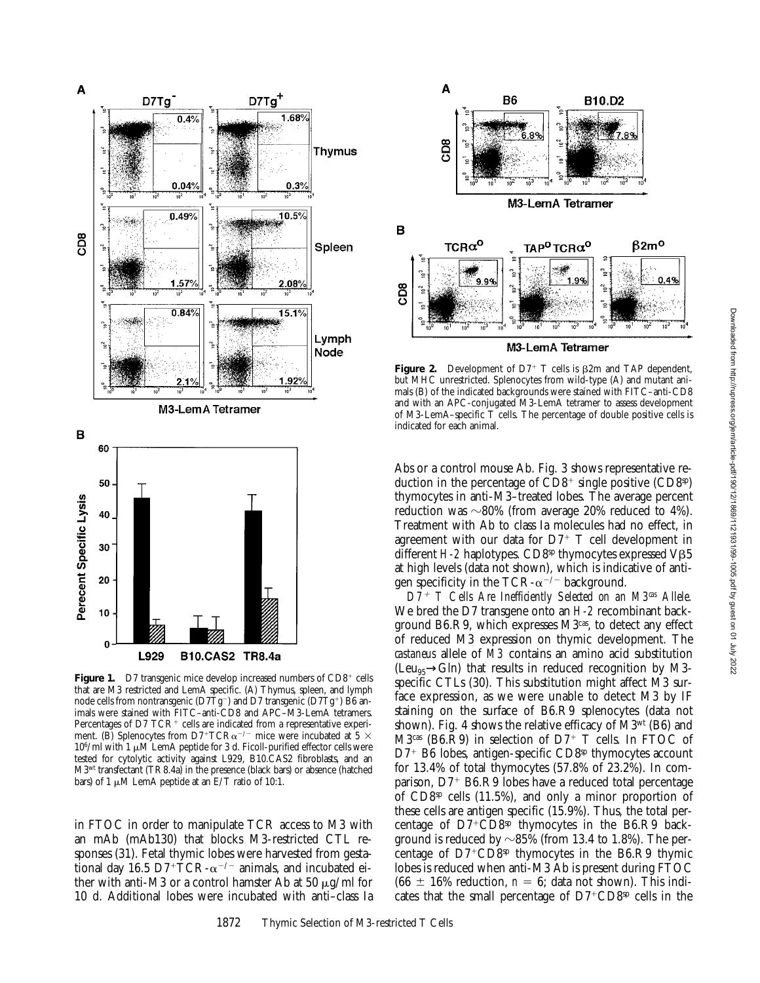

**Figure 1.** D7 transgenic mice develop increased numbers of CD8<sup>+</sup> cells that are M3 restricted and LemA specific. (A) Thymus, spleen, and lymph node cells from nontransgenic (D7Tg<sup>-</sup>) and D7 transgenic (D7Tg<sup>+</sup>) B6 animals were stained with FITC–anti-CD8 and APC–M3-LemA tetramers. Percentages of  $D7 TCR^+$  cells are indicated from a representative experiment. (B) Splenocytes from D7+TCR $\alpha$ <sup>-/-</sup> mice were incubated at 5  $\times$  $10^6$ /ml with 1  $\mu$ M LemA peptide for 3 d. Ficoll-purified effector cells were tested for cytolytic activity against L929, B10.CAS2 fibroblasts, and an M3wt transfectant (TR8.4a) in the presence (black bars) or absence (hatched bars) of 1  $\mu$ M LemA peptide at an E/T ratio of 10:1.

in FTOC in order to manipulate TCR access to M3 with an mAb (mAb130) that blocks M3-restricted CTL responses (31). Fetal thymic lobes were harvested from gestational day 16.5 D7+TCR- $\alpha$ <sup>-/-</sup> animals, and incubated either with anti-M3 or a control hamster Ab at 50  $\mu$ g/ml for 10 d. Additional lobes were incubated with anti–class Ia



M3-LemA Tetramer

**Figure 2.** Development of  $D7^+$  T cells is  $\beta$ 2m and TAP dependent, but MHC unrestricted. Splenocytes from wild-type (A) and mutant animals (B) of the indicated backgrounds were stained with FITC–anti-CD8 and with an APC-conjugated M3-LemA tetramer to assess development of M3-LemA–specific T cells. The percentage of double positive cells is indicated for each animal.

Abs or a control mouse Ab. Fig. 3 shows representative reduction in the percentage of  $CD8<sup>+</sup>$  single positive ( $CD8<sup>sp</sup>$ ) thymocytes in anti-M3–treated lobes. The average percent reduction was  $\sim 80\%$  (from average 20% reduced to 4%). Treatment with Ab to class Ia molecules had no effect, in agreement with our data for  $D7^+$  T cell development in different  $H$ -2 haplotypes. CD8<sup>sp</sup> thymocytes expressed  $\nabla$  $\beta$ 5 at high levels (data not shown), which is indicative of antigen specificity in the TCR- $\alpha^{-/-}$  background.

*D7*1 *T Cells Are Inefficiently Selected on an M3cas Allele.* We bred the D7 transgene onto an *H-2* recombinant background  $B6.R9$ , which expresses  $M3<sup>cas</sup>$ , to detect any effect of reduced M3 expression on thymic development. The *castaneus* allele of *M3* contains an amino acid substitution  $(Leu<sub>95</sub> \rightarrow Gln)$  that results in reduced recognition by M3specific CTLs (30). This substitution might affect M3 surface expression, as we were unable to detect M3 by IF staining on the surface of B6.R9 splenocytes (data not shown). Fig. 4 shows the relative efficacy of  $M3<sup>wt</sup>$  (B6) and  $M3<sup>cas</sup>$  (B6.R9) in selection of D7<sup>+</sup> T cells. In FTOC of  $D7^+$  B6 lobes, antigen-specific CD8<sup>sp</sup> thymocytes account for 13.4% of total thymocytes (57.8% of 23.2%). In comparison,  $D7$ <sup>+</sup> B6.R9 lobes have a reduced total percentage of  $CD8<sup>sp</sup>$  cells (11.5%), and only a minor proportion of these cells are antigen specific (15.9%). Thus, the total percentage of  $D7+CD8$ <sup>sp</sup> thymocytes in the B6.R9 background is reduced by  $\sim$ 85% (from 13.4 to 1.8%). The percentage of  $D7+CD8^{sp}$  thymocytes in the B6.R9 thymic lobes is reduced when anti-M3 Ab is present during FTOC (66  $\pm$  16% reduction, *n* = 6; data not shown). This indicates that the small percentage of  $D7+CD8^{sp}$  cells in the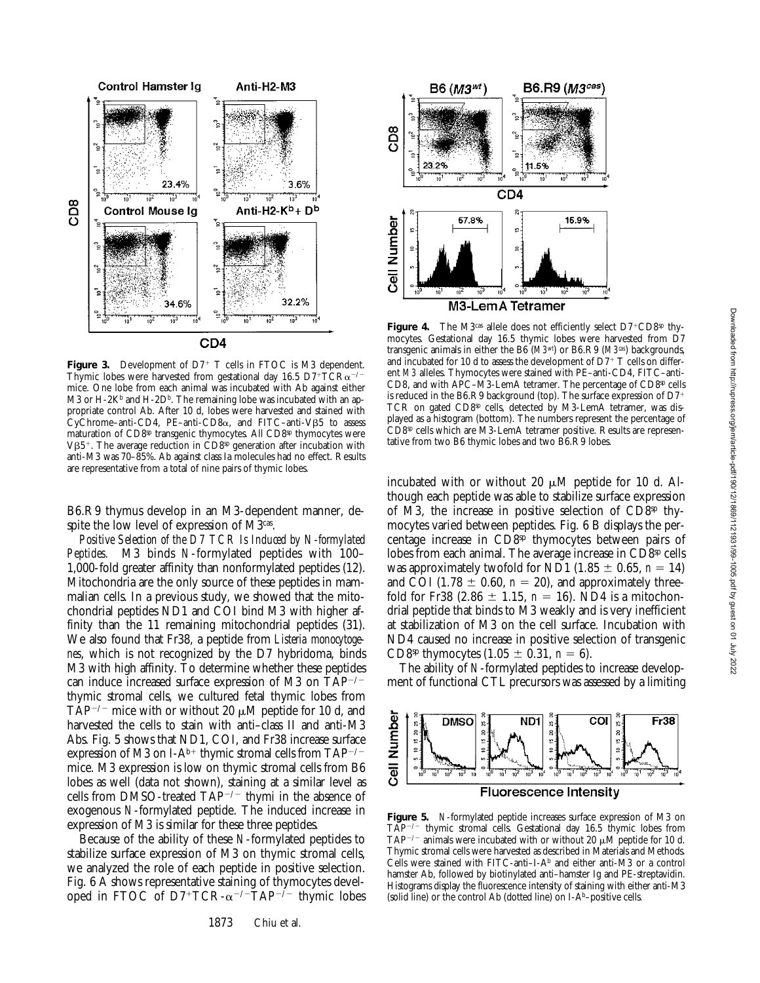

Figure 3. Development of D7<sup>+</sup> T cells in FTOC is M3 dependent. Thymic lobes were harvested from gestational day 16.5 D7+TCR $\alpha$ <sup>-</sup> mice. One lobe from each animal was incubated with Ab against either M3 or H-2Kb and H-2Db. The remaining lobe was incubated with an appropriate control Ab. After 10 d, lobes were harvested and stained with  $\rm\dot{C}y\dot{C}hrome-anti-CD4$ , PE-anti-CD8 $\alpha$ , and FITC-anti-V $\beta$ 5 to assess maturation of CD8<sup>sp</sup> transgenic thymocytes. All CD8<sup>sp</sup> thymocytes were  $V\beta5^+$ . The average reduction in CD8<sup>sp</sup> generation after incubation with anti-M3 was 70–85%. Ab against class Ia molecules had no effect. Results are representative from a total of nine pairs of thymic lobes.

B6.R9 thymus develop in an M3-dependent manner, despite the low level of expression of M3<sup>cas</sup>.

*Positive Selection of the D7 TCR Is Induced by N-formylated Peptides.* M3 binds *N*-formylated peptides with 100– 1,000-fold greater affinity than nonformylated peptides (12). Mitochondria are the only source of these peptides in mammalian cells. In a previous study, we showed that the mitochondrial peptides ND1 and COI bind M3 with higher affinity than the 11 remaining mitochondrial peptides (31). We also found that Fr38, a peptide from *Listeria monocytogenes*, which is not recognized by the D7 hybridoma, binds M3 with high affinity. To determine whether these peptides can induce increased surface expression of M3 on  $TAP^{-/-}$ thymic stromal cells, we cultured fetal thymic lobes from TAP<sup>-/-</sup> mice with or without 20  $\mu$ M peptide for 10 d, and harvested the cells to stain with anti–class II and anti-M3 Abs. Fig. 5 shows that ND1, COI, and Fr38 increase surface expression of M3 on I-A<sup>b+</sup> thymic stromal cells from TAP<sup>-/-</sup> mice. M3 expression is low on thymic stromal cells from B6 lobes as well (data not shown), staining at a similar level as cells from DMSO-treated  $TAP^{-/-}$  thymi in the absence of exogenous *N*-formylated peptide. The induced increase in expression of M3 is similar for these three peptides.

Because of the ability of these *N*-formylated peptides to stabilize surface expression of M3 on thymic stromal cells, we analyzed the role of each peptide in positive selection. Fig. 6 A shows representative staining of thymocytes developed in FTOC of D7<sup>+</sup>TCR- $\alpha^{-/-}$ TAP<sup>-7</sup> thymic lobes



**Figure 4.** The M3<sup>cas</sup> allele does not efficiently select  $D7+CD8^{sp}$  thymocytes. Gestational day 16.5 thymic lobes were harvested from D7 transgenic animals in either the B6 (*M3wt*) or B6.R9 (*M3cas*) backgrounds, and incubated for 10 d to assess the development of  $D7^+$  T cells on different *M3* alleles. Thymocytes were stained with PE–anti-CD4, FITC–anti-CD8, and with APC–M3-LemA tetramer. The percentage of CD8<sup>sp</sup> cells is reduced in the B6.R9 background (top). The surface expression of  $D7^+$ TCR on gated CD8<sup>sp</sup> cells, detected by M3-LemA tetramer, was displayed as a histogram (bottom). The numbers represent the percentage of CD8<sup>sp</sup> cells which are M3-LemA tetramer positive. Results are representative from two B6 thymic lobes and two B6.R9 lobes.

incubated with or without 20  $\mu$ M peptide for 10 d. Although each peptide was able to stabilize surface expression of M3, the increase in positive selection of CD8<sup>sp</sup> thymocytes varied between peptides. Fig. 6 B displays the percentage increase in CD8<sup>sp</sup> thymocytes between pairs of lobes from each animal. The average increase in CD8<sup>sp</sup> cells was approximately twofold for ND1 (1.85  $\pm$  0.65, *n* = 14) and COI (1.78  $\pm$  0.60, *n* = 20), and approximately threefold for Fr38 (2.86  $\pm$  1.15, *n* = 16). ND4 is a mitochondrial peptide that binds to M3 weakly and is very inefficient at stabilization of M3 on the cell surface. Incubation with ND4 caused no increase in positive selection of transgenic CD8<sup>sp</sup> thymocytes  $(1.05 \pm 0.31, n = 6)$ .

The ability of *N*-formylated peptides to increase development of functional CTL precursors was assessed by a limiting



**Figure 5.** *N*-formylated peptide increases surface expression of M3 on  $TAP^{-/-}$  thymic stromal cells. Gestational day 16.5 thymic lobes from TAP<sup>-/-</sup> animals were incubated with or without 20  $\mu$ M peptide for 10 d. Thymic stromal cells were harvested as described in Materials and Methods. Cells were stained with FITC-anti-I-A<sup>b</sup> and either anti-M3 or a control hamster Ab, followed by biotinylated anti–hamster Ig and PE-streptavidin. Histograms display the fluorescence intensity of staining with either anti-M3 (solid line) or the control Ab (dotted line) on I-Ab–positive cells.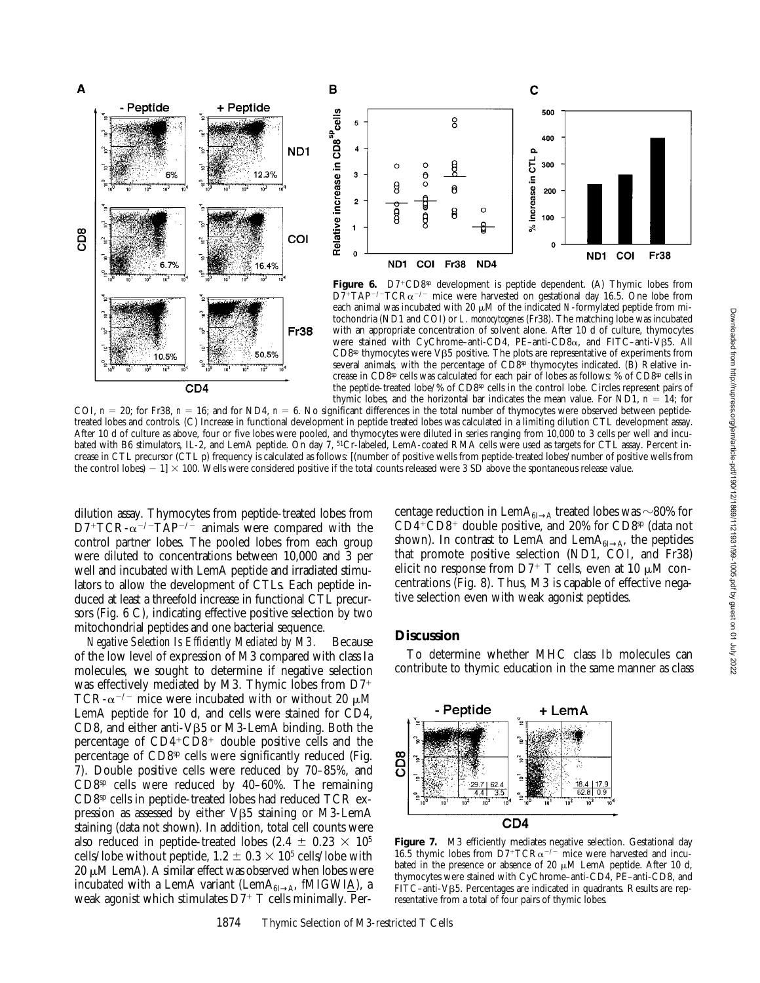



Figure 6. D7<sup>+</sup>CD8<sup>sp</sup> development is peptide dependent. (A) Thymic lobes from  $D7+TAP^{-/-}TCR\alpha^{-/-}$  mice were harvested on gestational day 16.5. One lobe from each animal was incubated with 20  $\mu$ M of the indicated *N*-formylated peptide from mitochondria (ND1 and COI) or *L. monocytogenes* (Fr38). The matching lobe was incubated with an appropriate concentration of solvent alone. After 10 d of culture, thymocytes were stained with CyChrome-anti-CD4, PE-anti-CD8α, and FITC-anti-Vβ5. All  $CD8<sup>sp</sup>$  thymocytes were V $\beta$ 5 positive. The plots are representative of experiments from several animals, with the percentage of  $CD8<sup>sp</sup>$  thymocytes indicated. (B) Relative increase in CD8sp cells was calculated for each pair of lobes as follows: % of CD8sp cells in the peptide-treated lobe/% of CD8<sup>sp</sup> cells in the control lobe. Circles represent pairs of thymic lobes, and the horizontal bar indicates the mean value. For ND1,  $n = 14$ ; for

COI,  $n = 20$ ; for Fr38,  $n = 16$ ; and for ND4,  $n = 6$ . No significant differences in the total number of thymocytes were observed between peptidetreated lobes and controls. (C) Increase in functional development in peptide treated lobes was calculated in a limiting dilution CTL development assay. After 10 d of culture as above, four or five lobes were pooled, and thymocytes were diluted in series ranging from 10,000 to 3 cells per well and incubated with B6 stimulators, IL-2, and LemA peptide. On day 7, 51Cr-labeled, LemA-coated RMA cells were used as targets for CTL assay. Percent increase in CTL precursor (CTL p) frequency is calculated as follows: [(number of positive wells from peptide-treated lobes/number of positive wells from the control lobes)  $-1$   $\times$  100. Wells were considered positive if the total counts released were 3 SD above the spontaneous release value.

dilution assay. Thymocytes from peptide-treated lobes from  $D7+TCR-\alpha^{-/-}TAP^{-/-}$  animals were compared with the control partner lobes. The pooled lobes from each group were diluted to concentrations between 10,000 and 3 per well and incubated with LemA peptide and irradiated stimulators to allow the development of CTLs. Each peptide induced at least a threefold increase in functional CTL precursors (Fig. 6 C), indicating effective positive selection by two mitochondrial peptides and one bacterial sequence.

*Negative Selection Is Efficiently Mediated by M3.* Because of the low level of expression of M3 compared with class Ia molecules, we sought to determine if negative selection was effectively mediated by M3. Thymic lobes from  $D7$ <sup>+</sup> TCR- $\alpha$ <sup>-/-</sup> mice were incubated with or without 20  $\mu$ M LemA peptide for 10 d, and cells were stained for CD4, CD8, and either anti- $V\beta5$  or M3-LemA binding. Both the percentage of  $CD4+CD8+$  double positive cells and the percentage of CD8sp cells were significantly reduced (Fig. 7). Double positive cells were reduced by 70–85%, and CD8sp cells were reduced by 40–60%. The remaining CD8sp cells in peptide-treated lobes had reduced TCR expression as assessed by either  $V\beta5$  staining or M3-LemA staining (data not shown). In addition, total cell counts were also reduced in peptide-treated lobes (2.4  $\pm$  0.23  $\times$  10<sup>5</sup> cells/lobe without peptide,  $1.2 \pm 0.3 \times 10^5$  cells/lobe with  $20 \mu M$  LemA). A similar effect was observed when lobes were incubated with a LemA variant (LemA $_{6I\rightarrow A}$ , fMIGWIA), a weak agonist which stimulates  $D7$ <sup>+</sup> T cells minimally. Percentage reduction in LemA $_{6I\rightarrow A}$  treated lobes was  $\sim$ 80% for  $CD4+CD8$ <sup>+</sup> double positive, and 20% for CD8<sup>sp</sup> (data not shown). In contrast to LemA and LemA $_{6I\rightarrow A}$ , the peptides that promote positive selection (ND1, COI, and Fr38) elicit no response from  $D7^+$  T cells, even at 10  $\mu$ M concentrations (Fig. 8). Thus, M3 is capable of effective negative selection even with weak agonist peptides.

#### **Discussion**

To determine whether MHC class Ib molecules can contribute to thymic education in the same manner as class



Figure 7. M3 efficiently mediates negative selection. Gestational day 16.5 thymic lobes from  $\rm \ddot{D}7^{+}TCR\alpha^{-/-}$  mice were harvested and incubated in the presence or absence of 20  $\mu$ M LemA peptide. After 10 d, thymocytes were stained with CyChrome–anti-CD4, PE–anti-CD8, and  $FITC$ –anti-V $\beta$ 5. Percentages are indicated in quadrants. Results are representative from a total of four pairs of thymic lobes.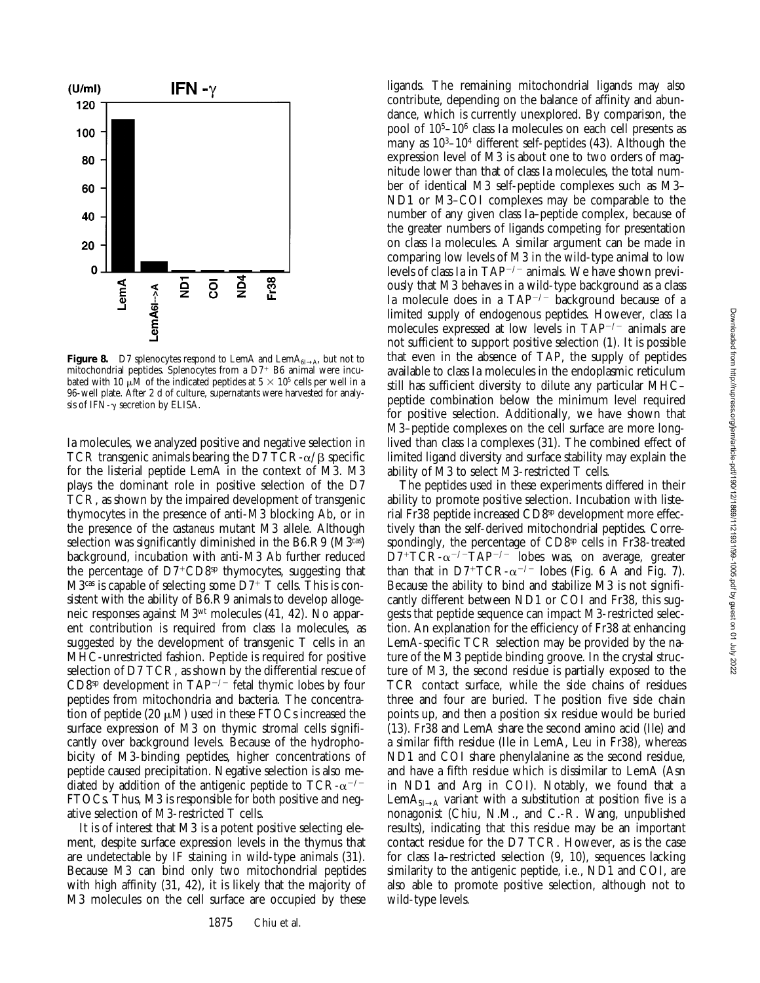

**Figure 8.** D7 splenocytes respond to LemA and LemA $_{6I\rightarrow A}$ , but not to mitochondrial peptides. Splenocytes from a  $D7$ <sup>+</sup> B6 animal were incubated with 10  $\mu$ M of the indicated peptides at 5  $\times$  10<sup>5</sup> cells per well in a 96-well plate. After 2 d of culture, supernatants were harvested for analysis of IFN- $\gamma$  secretion by ELISA.

Ia molecules, we analyzed positive and negative selection in TCR transgenic animals bearing the D7 TCR- $\alpha$ / $\beta$  specific for the listerial peptide LemA in the context of M3. M3 plays the dominant role in positive selection of the D7 TCR, as shown by the impaired development of transgenic thymocytes in the presence of anti-M3 blocking Ab, or in the presence of the *castaneus* mutant M3 allele. Although selection was significantly diminished in the B6.R9 (M3<sup>cas</sup>) background, incubation with anti-M3 Ab further reduced the percentage of  $D7+CD8^{sp}$  thymocytes, suggesting that  $M3<sup>cas</sup>$  is capable of selecting some  $D7<sup>+</sup>$  T cells. This is consistent with the ability of B6.R9 animals to develop allogeneic responses against M3wt molecules (41, 42). No apparent contribution is required from class Ia molecules, as suggested by the development of transgenic T cells in an MHC-unrestricted fashion. Peptide is required for positive selection of D7 TCR, as shown by the differential rescue of CD8<sup>sp</sup> development in TAP<sup> $-/-$ </sup> fetal thymic lobes by four peptides from mitochondria and bacteria. The concentration of peptide (20  $\mu$ M) used in these FTOCs increased the surface expression of M3 on thymic stromal cells significantly over background levels. Because of the hydrophobicity of M3-binding peptides, higher concentrations of peptide caused precipitation. Negative selection is also mediated by addition of the antigenic peptide to  $TCR-\alpha^{-/-}$ FTOCs. Thus, M3 is responsible for both positive and negative selection of M3-restricted T cells.

It is of interest that M3 is a potent positive selecting element, despite surface expression levels in the thymus that are undetectable by IF staining in wild-type animals (31). Because M3 can bind only two mitochondrial peptides with high affinity (31, 42), it is likely that the majority of M3 molecules on the cell surface are occupied by these

1875 Chiu et al.

ligands. The remaining mitochondrial ligands may also contribute, depending on the balance of affinity and abundance, which is currently unexplored. By comparison, the pool of 105–106 class Ia molecules on each cell presents as many as 103–104 different self-peptides (43). Although the expression level of M3 is about one to two orders of magnitude lower than that of class Ia molecules, the total number of identical M3 self-peptide complexes such as M3– ND1 or M3–COI complexes may be comparable to the number of any given class Ia–peptide complex, because of the greater numbers of ligands competing for presentation on class Ia molecules. A similar argument can be made in comparing low levels of M3 in the wild-type animal to low levels of class Ia in TAP $^{-/-}$  animals. We have shown previously that M3 behaves in a wild-type background as a class Ia molecule does in a  $TAP^{-/-}$  background because of a limited supply of endogenous peptides. However, class Ia molecules expressed at low levels in  $TAP^{-/-}$  animals are not sufficient to support positive selection (1). It is possible that even in the absence of TAP, the supply of peptides available to class Ia molecules in the endoplasmic reticulum still has sufficient diversity to dilute any particular MHC– peptide combination below the minimum level required for positive selection. Additionally, we have shown that M3–peptide complexes on the cell surface are more longlived than class Ia complexes (31). The combined effect of limited ligand diversity and surface stability may explain the ability of M3 to select M3-restricted T cells.

The peptides used in these experiments differed in their ability to promote positive selection. Incubation with listerial Fr38 peptide increased CD8sp development more effectively than the self-derived mitochondrial peptides. Correspondingly, the percentage of CD8<sup>sp</sup> cells in Fr38-treated  $D7^+TCR$ - $\alpha^{-/-}TAP^{-/-}$  lobes was, on average, greater than that in D7+TCR- $\alpha$ <sup>-/-</sup> lobes (Fig. 6 A and Fig. 7). Because the ability to bind and stabilize M3 is not significantly different between ND1 or COI and Fr38, this suggests that peptide sequence can impact M3-restricted selection. An explanation for the efficiency of Fr38 at enhancing LemA-specific TCR selection may be provided by the nature of the M3 peptide binding groove. In the crystal structure of M3, the second residue is partially exposed to the TCR contact surface, while the side chains of residues three and four are buried. The position five side chain points up, and then a position six residue would be buried (13). Fr38 and LemA share the second amino acid (Ile) and a similar fifth residue (Ile in LemA, Leu in Fr38), whereas ND1 and COI share phenylalanine as the second residue, and have a fifth residue which is dissimilar to LemA (Asn in ND1 and Arg in COI). Notably, we found that a Lem $A_{5I\rightarrow A}$  variant with a substitution at position five is a nonagonist (Chiu, N.M., and C.-R. Wang, unpublished results), indicating that this residue may be an important contact residue for the D7 TCR. However, as is the case for class Ia–restricted selection (9, 10), sequences lacking similarity to the antigenic peptide, i.e., ND1 and COI, are also able to promote positive selection, although not to wild-type levels.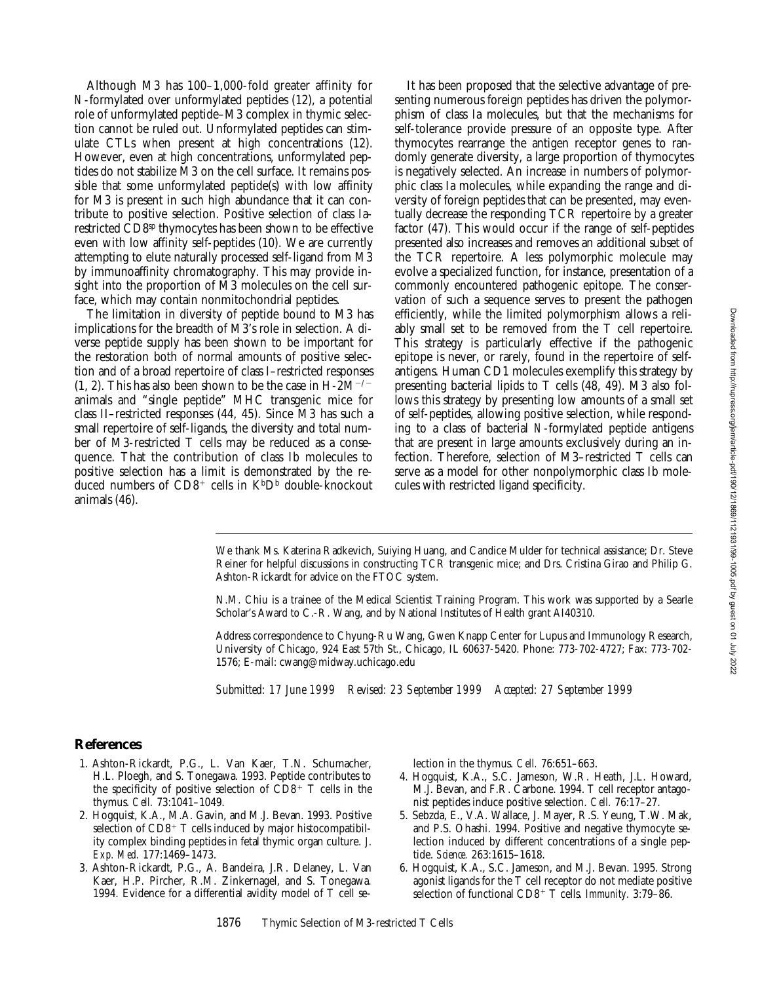Although M3 has 100–1,000-fold greater affinity for *N*-formylated over unformylated peptides (12), a potential role of unformylated peptide–M3 complex in thymic selection cannot be ruled out. Unformylated peptides can stimulate CTLs when present at high concentrations (12). However, even at high concentrations, unformylated peptides do not stabilize M3 on the cell surface. It remains possible that some unformylated peptide(s) with low affinity for M3 is present in such high abundance that it can contribute to positive selection. Positive selection of class Iarestricted CD8<sup>sp</sup> thymocytes has been shown to be effective even with low affinity self-peptides (10). We are currently attempting to elute naturally processed self-ligand from M3 by immunoaffinity chromatography. This may provide insight into the proportion of M3 molecules on the cell surface, which may contain nonmitochondrial peptides.

The limitation in diversity of peptide bound to M3 has implications for the breadth of M3's role in selection. A diverse peptide supply has been shown to be important for the restoration both of normal amounts of positive selection and of a broad repertoire of class I–restricted responses  $(1, 2)$ . This has also been shown to be the case in H-2M<sup>-/-</sup> animals and "single peptide" MHC transgenic mice for class II–restricted responses (44, 45). Since M3 has such a small repertoire of self-ligands, the diversity and total number of M3-restricted T cells may be reduced as a consequence. That the contribution of class Ib molecules to positive selection has a limit is demonstrated by the reduced numbers of  $CD8^+$  cells in  $K^bD^b$  double-knockout animals (46).

It has been proposed that the selective advantage of presenting numerous foreign peptides has driven the polymorphism of class Ia molecules, but that the mechanisms for self-tolerance provide pressure of an opposite type. After thymocytes rearrange the antigen receptor genes to randomly generate diversity, a large proportion of thymocytes is negatively selected. An increase in numbers of polymorphic class Ia molecules, while expanding the range and diversity of foreign peptides that can be presented, may eventually decrease the responding TCR repertoire by a greater factor (47). This would occur if the range of self-peptides presented also increases and removes an additional subset of the TCR repertoire. A less polymorphic molecule may evolve a specialized function, for instance, presentation of a commonly encountered pathogenic epitope. The conservation of such a sequence serves to present the pathogen efficiently, while the limited polymorphism allows a reliably small set to be removed from the T cell repertoire. This strategy is particularly effective if the pathogenic epitope is never, or rarely, found in the repertoire of selfantigens. Human CD1 molecules exemplify this strategy by presenting bacterial lipids to T cells (48, 49). M3 also follows this strategy by presenting low amounts of a small set of self-peptides, allowing positive selection, while responding to a class of bacterial *N*-formylated peptide antigens that are present in large amounts exclusively during an infection. Therefore, selection of M3–restricted T cells can serve as a model for other nonpolymorphic class Ib molecules with restricted ligand specificity.

We thank Ms. Katerina Radkevich, Suiying Huang, and Candice Mulder for technical assistance; Dr. Steve Reiner for helpful discussions in constructing TCR transgenic mice; and Drs. Cristina Girao and Philip G. Ashton-Rickardt for advice on the FTOC system.

N.M. Chiu is a trainee of the Medical Scientist Training Program. This work was supported by a Searle Scholar's Award to C.-R. Wang, and by National Institutes of Health grant AI40310.

Address correspondence to Chyung-Ru Wang, Gwen Knapp Center for Lupus and Immunology Research, University of Chicago, 924 East 57th St., Chicago, IL 60637-5420. Phone: 773-702-4727; Fax: 773-702- 1576; E-mail: cwang@midway.uchicago.edu

*Submitted: 17 June 1999 Revised: 23 September 1999 Accepted: 27 September 1999*

## **References**

- 1. Ashton-Rickardt, P.G., L. Van Kaer, T.N. Schumacher, H.L. Ploegh, and S. Tonegawa. 1993. Peptide contributes to the specificity of positive selection of  $CD8^+$  T cells in the thymus. *Cell.* 73:1041–1049.
- 2. Hogquist, K.A., M.A. Gavin, and M.J. Bevan. 1993. Positive selection of  $CD8^+$  T cells induced by major histocompatibility complex binding peptides in fetal thymic organ culture. *J. Exp. Med.* 177:1469–1473.
- 3. Ashton-Rickardt, P.G., A. Bandeira, J.R. Delaney, L. Van Kaer, H.P. Pircher, R.M. Zinkernagel, and S. Tonegawa. 1994. Evidence for a differential avidity model of T cell se-

lection in the thymus. *Cell.* 76:651–663.

- 4. Hogquist, K.A., S.C. Jameson, W.R. Heath, J.L. Howard, M.J. Bevan, and F.R. Carbone. 1994. T cell receptor antagonist peptides induce positive selection. *Cell.* 76:17–27.
- 5. Sebzda, E., V.A. Wallace, J. Mayer, R.S. Yeung, T.W. Mak, and P.S. Ohashi. 1994. Positive and negative thymocyte selection induced by different concentrations of a single peptide. *Science.* 263:1615–1618.
- 6. Hogquist, K.A., S.C. Jameson, and M.J. Bevan. 1995. Strong agonist ligands for the T cell receptor do not mediate positive selection of functional CD8<sup>+</sup> T cells. *Immunity*. 3:79-86.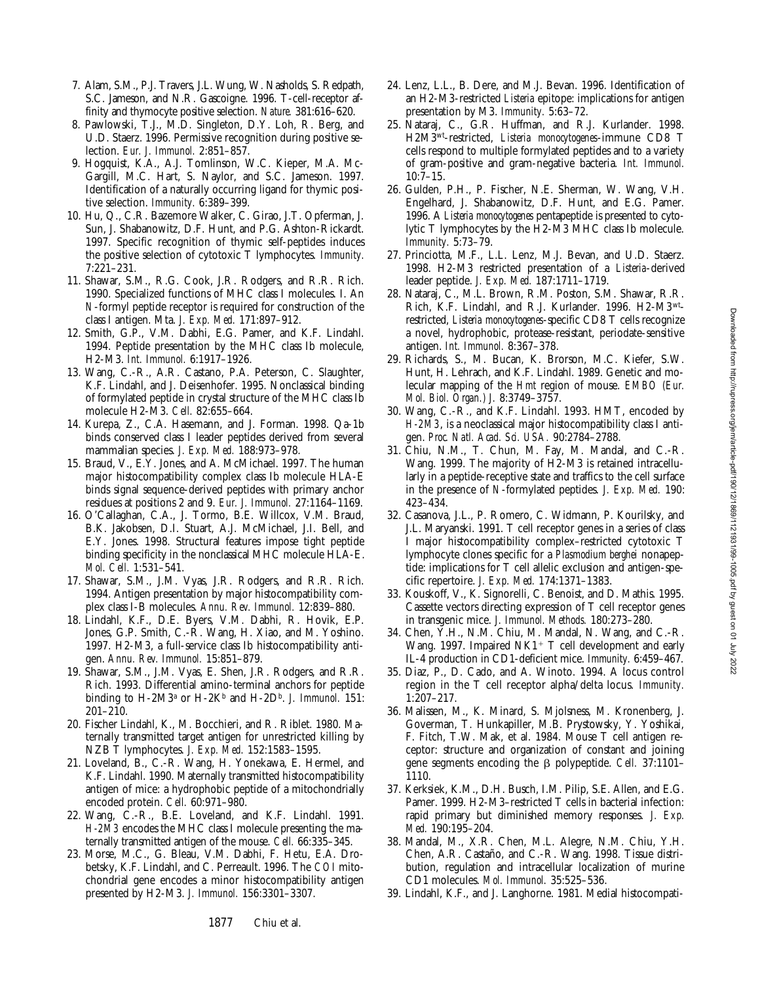- 7. Alam, S.M., P.J. Travers, J.L. Wung, W. Nasholds, S. Redpath, S.C. Jameson, and N.R. Gascoigne. 1996. T-cell-receptor affinity and thymocyte positive selection. *Nature.* 381:616–620.
- 8. Pawlowski, T.J., M.D. Singleton, D.Y. Loh, R. Berg, and U.D. Staerz. 1996. Permissive recognition during positive selection. *Eur. J. Immunol.* 2:851–857.
- 9. Hogquist, K.A., A.J. Tomlinson, W.C. Kieper, M.A. Mc-Gargill, M.C. Hart, S. Naylor, and S.C. Jameson. 1997. Identification of a naturally occurring ligand for thymic positive selection. *Immunity.* 6:389–399.
- 10. Hu, Q., C.R. Bazemore Walker, C. Girao, J.T. Opferman, J. Sun, J. Shabanowitz, D.F. Hunt, and P.G. Ashton-Rickardt. 1997. Specific recognition of thymic self-peptides induces the positive selection of cytotoxic T lymphocytes. *Immunity.* 7:221–231.
- 11. Shawar, S.M., R.G. Cook, J.R. Rodgers, and R.R. Rich. 1990. Specialized functions of MHC class I molecules. I. An *N*-formyl peptide receptor is required for construction of the class I antigen. Mta. *J. Exp. Med.* 171:897–912.
- 12. Smith, G.P., V.M. Dabhi, E.G. Pamer, and K.F. Lindahl. 1994. Peptide presentation by the MHC class Ib molecule, H2-M3. *Int. Immunol.* 6:1917–1926.
- 13. Wang, C.-R., A.R. Castano, P.A. Peterson, C. Slaughter, K.F. Lindahl, and J. Deisenhofer. 1995. Nonclassical binding of formylated peptide in crystal structure of the MHC class Ib molecule H2-M3. *Cell.* 82:655–664.
- 14. Kurepa, Z., C.A. Hasemann, and J. Forman. 1998. Qa-1b binds conserved class I leader peptides derived from several mammalian species. *J. Exp. Med.* 188:973–978.
- 15. Braud, V., E.Y. Jones, and A. McMichael. 1997. The human major histocompatibility complex class Ib molecule HLA-E binds signal sequence-derived peptides with primary anchor residues at positions 2 and 9. *Eur. J. Immunol.* 27:1164–1169.
- 16. O'Callaghan, C.A., J. Tormo, B.E. Willcox, V.M. Braud, B.K. Jakobsen, D.I. Stuart, A.J. McMichael, J.I. Bell, and E.Y. Jones. 1998. Structural features impose tight peptide binding specificity in the nonclassical MHC molecule HLA-E. *Mol. Cell.* 1:531–541.
- 17. Shawar, S.M., J.M. Vyas, J.R. Rodgers, and R.R. Rich. 1994. Antigen presentation by major histocompatibility complex class I-B molecules. *Annu. Rev. Immunol.* 12:839–880.
- 18. Lindahl, K.F., D.E. Byers, V.M. Dabhi, R. Hovik, E.P. Jones, G.P. Smith, C.-R. Wang, H. Xiao, and M. Yoshino. 1997. H2-M3, a full-service class Ib histocompatibility antigen. *Annu. Rev. Immunol.* 15:851–879.
- 19. Shawar, S.M., J.M. Vyas, E. Shen, J.R. Rodgers, and R.R. Rich. 1993. Differential amino-terminal anchors for peptide binding to H-2M3ª or H-2K<sup>b</sup> and H-2D<sup>b</sup>. *J. Immunol.* 151: 201–210.
- 20. Fischer Lindahl, K., M. Bocchieri, and R. Riblet. 1980. Maternally transmitted target antigen for unrestricted killing by NZB T lymphocytes. *J. Exp. Med.* 152:1583–1595.
- 21. Loveland, B., C.-R. Wang, H. Yonekawa, E. Hermel, and K.F. Lindahl. 1990. Maternally transmitted histocompatibility antigen of mice: a hydrophobic peptide of a mitochondrially encoded protein. *Cell.* 60:971–980.
- 22. Wang, C.-R., B.E. Loveland, and K.F. Lindahl. 1991. *H-2M3* encodes the MHC class I molecule presenting the maternally transmitted antigen of the mouse. *Cell.* 66:335–345.
- 23. Morse, M.C., G. Bleau, V.M. Dabhi, F. Hetu, E.A. Drobetsky, K.F. Lindahl, and C. Perreault. 1996. The *COI* mitochondrial gene encodes a minor histocompatibility antigen presented by H2-M3. *J. Immunol.* 156:3301–3307.
- 24. Lenz, L.L., B. Dere, and M.J. Bevan. 1996. Identification of an H2-M3-restricted *Listeria* epitope: implications for antigen presentation by M3. *Immunity.* 5:63–72.
- 25. Nataraj, C., G.R. Huffman, and R.J. Kurlander. 1998. H2M3wt-restricted, *Listeria monocytogenes*-immune CD8 T cells respond to multiple formylated peptides and to a variety of gram-positive and gram-negative bacteria. *Int. Immunol.* 10:7–15.
- 26. Gulden, P.H., P. Fischer, N.E. Sherman, W. Wang, V.H. Engelhard, J. Shabanowitz, D.F. Hunt, and E.G. Pamer. 1996. A *Listeria monocytogenes* pentapeptide is presented to cytolytic T lymphocytes by the H2-M3 MHC class Ib molecule. *Immunity.* 5:73–79.
- 27. Princiotta, M.F., L.L. Lenz, M.J. Bevan, and U.D. Staerz. 1998. H2-M3 restricted presentation of a *Listeria*-derived leader peptide. *J. Exp. Med.* 187:1711–1719.
- 28. Nataraj, C., M.L. Brown, R.M. Poston, S.M. Shawar, R.R. Rich, K.F. Lindahl, and R.J. Kurlander. 1996. H2-M3wtrestricted, *Listeria monocytogenes*-specific CD8 T cells recognize a novel, hydrophobic, protease-resistant, periodate-sensitive antigen. *Int. Immunol.* 8:367–378.
- 29. Richards, S., M. Bucan, K. Brorson, M.C. Kiefer, S.W. Hunt, H. Lehrach, and K.F. Lindahl. 1989. Genetic and molecular mapping of the *Hmt* region of mouse. *EMBO (Eur. Mol. Biol. Organ.) J.* 8:3749–3757.
- 30. Wang, C.-R., and K.F. Lindahl. 1993. HMT, encoded by *H-2M3*, is a neoclassical major histocompatibility class I antigen. *Proc. Natl. Acad. Sci. USA.* 90:2784–2788.
- 31. Chiu, N.M., T. Chun, M. Fay, M. Mandal, and C.-R. Wang. 1999. The majority of H2-M3 is retained intracellularly in a peptide-receptive state and traffics to the cell surface in the presence of *N*-formylated peptides. *J. Exp. Med.* 190: 423–434.
- 32. Casanova, J.L., P. Romero, C. Widmann, P. Kourilsky, and J.L. Maryanski. 1991. T cell receptor genes in a series of class I major histocompatibility complex–restricted cytotoxic T lymphocyte clones specific for a *Plasmodium berghei* nonapeptide: implications for T cell allelic exclusion and antigen-specific repertoire. *J. Exp. Med.* 174:1371–1383.
- 33. Kouskoff, V., K. Signorelli, C. Benoist, and D. Mathis. 1995. Cassette vectors directing expression of T cell receptor genes in transgenic mice. *J. Immunol. Methods.* 180:273–280.
- 34. Chen, Y.H., N.M. Chiu, M. Mandal, N. Wang, and C.-R. Wang. 1997. Impaired NK1<sup>+</sup> T cell development and early IL-4 production in CD1-deficient mice. *Immunity.* 6:459–467.
- 35. Diaz, P., D. Cado, and A. Winoto. 1994. A locus control region in the T cell receptor alpha/delta locus. *Immunity.* 1:207–217.
- 36. Malissen, M., K. Minard, S. Mjolsness, M. Kronenberg, J. Goverman, T. Hunkapiller, M.B. Prystowsky, Y. Yoshikai, F. Fitch, T.W. Mak, et al. 1984. Mouse T cell antigen receptor: structure and organization of constant and joining gene segments encoding the  $\beta$  polypeptide. *Cell.* 37:1101– 1110.
- 37. Kerksiek, K.M., D.H. Busch, I.M. Pilip, S.E. Allen, and E.G. Pamer. 1999. H2-M3–restricted T cells in bacterial infection: rapid primary but diminished memory responses. *J. Exp. Med.* 190:195–204.
- 38. Mandal, M., X.R. Chen, M.L. Alegre, N.M. Chiu, Y.H. Chen, A.R. Castaño, and C.-R. Wang. 1998. Tissue distribution, regulation and intracellular localization of murine CD1 molecules. *Mol. Immunol.* 35:525–536.
- 39. Lindahl, K.F., and J. Langhorne. 1981. Medial histocompati-